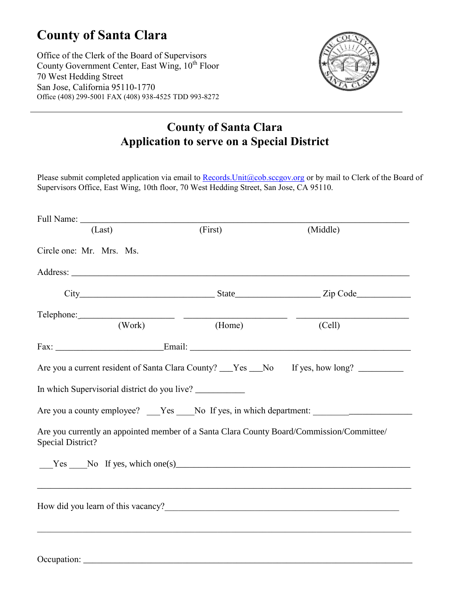## **County of Santa Clara**

Office of the Clerk of the Board of Supervisors County Government Center, East Wing, 10<sup>th</sup> Floor 70 West Hedding Street San Jose, California 95110-1770 Office (408) 299-5001 FAX (408) 938-4525 TDD 993-8272



## **County of Santa Clara Application to serve on a Special District**

Please submit completed application via email to Records. Unit@cob.sccgov.org or by mail to Clerk of the Board of Supervisors Office, East Wing, 10th floor, 70 West Hedding Street, San Jose, CA 95110.

| (Last)                                                                                                                                                                                                                         | (First) | (Middle)                                                                                    |
|--------------------------------------------------------------------------------------------------------------------------------------------------------------------------------------------------------------------------------|---------|---------------------------------------------------------------------------------------------|
| Circle one: Mr. Mrs. Ms.                                                                                                                                                                                                       |         |                                                                                             |
|                                                                                                                                                                                                                                |         |                                                                                             |
|                                                                                                                                                                                                                                |         |                                                                                             |
|                                                                                                                                                                                                                                |         |                                                                                             |
| Telephone: (Work) (Home)                                                                                                                                                                                                       |         | (Cell)                                                                                      |
|                                                                                                                                                                                                                                |         |                                                                                             |
|                                                                                                                                                                                                                                |         | Are you a current resident of Santa Clara County? ___Yes ___No If yes, how long? __________ |
| In which Supervisorial district do you live?                                                                                                                                                                                   |         |                                                                                             |
|                                                                                                                                                                                                                                |         |                                                                                             |
| Are you currently an appointed member of a Santa Clara County Board/Commission/Committee/<br><b>Special District?</b>                                                                                                          |         |                                                                                             |
| Yes No If yes, which one(s) Moment Contains the North Contains the North Contains the North Contains the North Contains the North Contains the North Contains the North Contains the North Contains the North Contains the Nor |         |                                                                                             |
|                                                                                                                                                                                                                                |         |                                                                                             |
| How did you learn of this vacancy?<br><u>Learn of this vacancy?</u>                                                                                                                                                            |         |                                                                                             |
|                                                                                                                                                                                                                                |         |                                                                                             |
|                                                                                                                                                                                                                                |         |                                                                                             |
|                                                                                                                                                                                                                                |         |                                                                                             |

Occupation: \_\_\_\_\_\_\_\_\_\_\_\_\_\_\_\_\_\_\_\_\_\_\_\_\_\_\_\_\_\_\_\_\_\_\_\_\_\_\_\_\_\_\_\_\_\_\_\_\_\_\_\_\_\_\_\_\_\_\_\_\_\_\_\_\_\_\_\_\_\_\_\_\_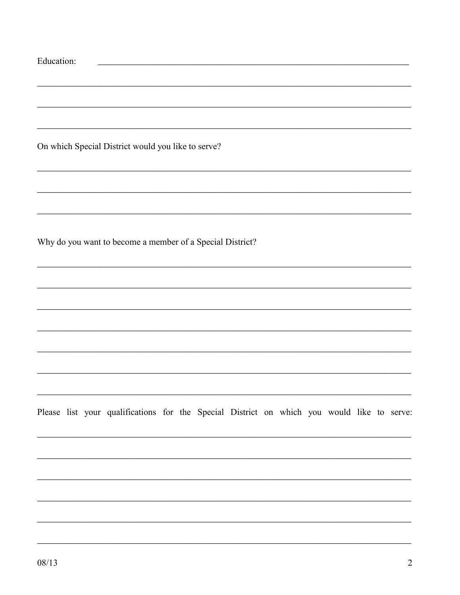| Education: |  |                                                                                            |  |  |  |  |  |  |
|------------|--|--------------------------------------------------------------------------------------------|--|--|--|--|--|--|
|            |  |                                                                                            |  |  |  |  |  |  |
|            |  |                                                                                            |  |  |  |  |  |  |
|            |  | On which Special District would you like to serve?                                         |  |  |  |  |  |  |
|            |  |                                                                                            |  |  |  |  |  |  |
|            |  |                                                                                            |  |  |  |  |  |  |
|            |  | Why do you want to become a member of a Special District?                                  |  |  |  |  |  |  |
|            |  |                                                                                            |  |  |  |  |  |  |
|            |  |                                                                                            |  |  |  |  |  |  |
|            |  |                                                                                            |  |  |  |  |  |  |
|            |  |                                                                                            |  |  |  |  |  |  |
|            |  | Please list your qualifications for the Special District on which you would like to serve: |  |  |  |  |  |  |
|            |  |                                                                                            |  |  |  |  |  |  |
|            |  |                                                                                            |  |  |  |  |  |  |
|            |  |                                                                                            |  |  |  |  |  |  |
|            |  |                                                                                            |  |  |  |  |  |  |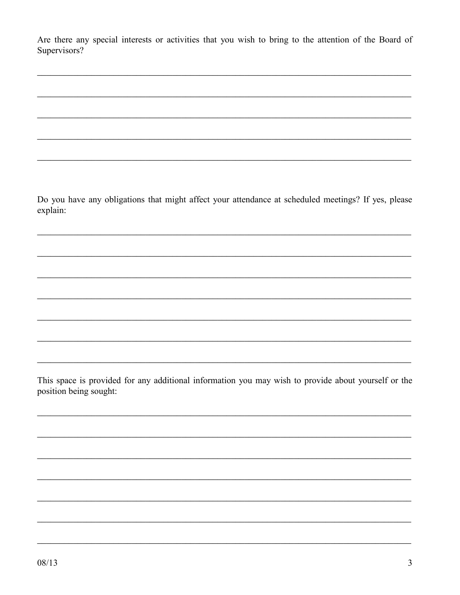Are there any special interests or activities that you wish to bring to the attention of the Board of Supervisors?

Do you have any obligations that might affect your attendance at scheduled meetings? If yes, please explain:

This space is provided for any additional information you may wish to provide about yourself or the position being sought: